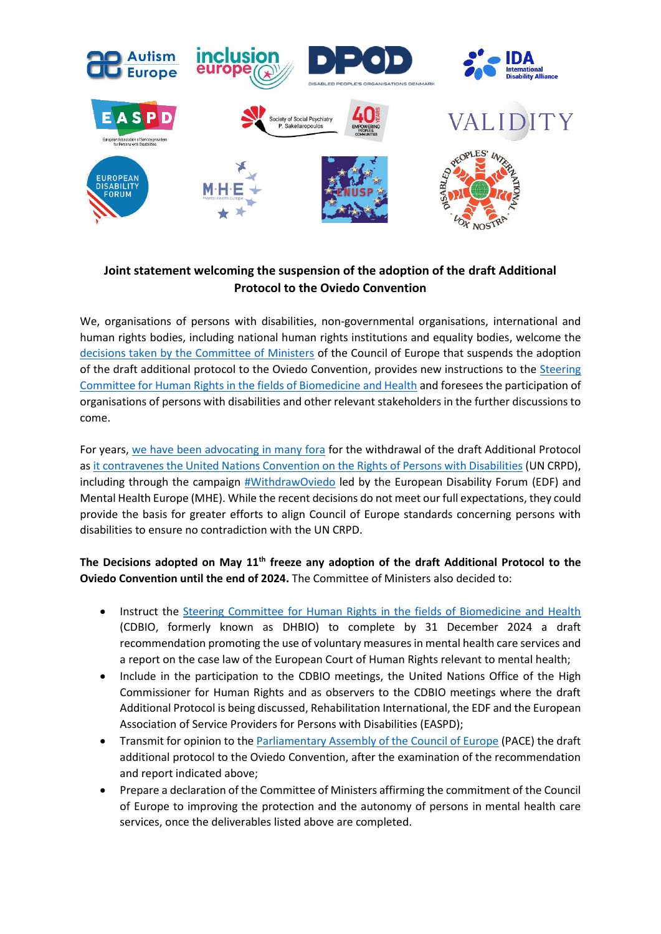

## **Joint statement welcoming the suspension of the adoption of the draft Additional Protocol to the Oviedo Convention**

We, organisations of persons with disabilities, non-governmental organisations, international and human rights bodies, including national human rights institutions and equality bodies, welcome the [decisions taken by the Committee of Ministers](https://search.coe.int/cm/Pages/result_details.aspx?ObjectID=0900001680a675e6) of the Council of Europe that suspends the adoption of the draft additional protocol to the Oviedo Convention, provides new instructions to the [Steering](https://www.coe.int/en/web/bioethics/cdbio)  [Committee for Human Rights in the fields of Biomedicine and Health](https://www.coe.int/en/web/bioethics/cdbio) and foresees the participation of organisations of persons with disabilities and other relevant stakeholders in the further discussions to come.

For years, [we have been advocating](https://www.edf-feph.org/newsroom-news-compilation-statements-opposing-draft-protocol-oviedo-convention-council-europe/) in many fora for the withdrawal of the draft Additional Protocol as [it contravenes the United Nations Convention on the Rights of Persons with Disabilities](https://mcusercontent.com/b7677abe7e07f34e813c15eef/files/cb276286-8e10-a8ce-c683-6648db46f400/Overview_of_issues_with_Oviedo_Draft_Protocol_in_light_of_CRPD.pdf) (UN CRPD), including through the campaign [#WithdrawOviedo](https://www.withdrawoviedo.info/join) led by the European Disability Forum (EDF) and Mental Health Europe (MHE). While the recent decisions do not meet our full expectations, they could provide the basis for greater efforts to align Council of Europe standards concerning persons with disabilities to ensure no contradiction with the UN CRPD.

**The Decisions adopted on May 11th freeze any adoption of the draft Additional Protocol to the Oviedo Convention until the end of 2024.** The Committee of Ministers also decided to:

- Instruct the [Steering Committee for Human Rights in the fields of Biomedicine and Health](https://www.coe.int/en/web/bioethics/cdbio) (CDBIO, formerly known as DHBIO) to complete by 31 December 2024 a draft recommendation promoting the use of voluntary measures in mental health care services and a report on the case law of the European Court of Human Rights relevant to mental health;
- Include in the participation to the CDBIO meetings, the United Nations Office of the High Commissioner for Human Rights and as observers to the CDBIO meetings where the draft Additional Protocol is being discussed, Rehabilitation International, the EDF and the European Association of Service Providers for Persons with Disabilities (EASPD);
- Transmit for opinion to the [Parliamentary Assembly of the Council of Europe](https://www.coe.int/en/web/no-hate-campaign/parliamentary-assembly1) (PACE) the draft additional protocol to the Oviedo Convention, after the examination of the recommendation and report indicated above;
- Prepare a declaration of the Committee of Ministers affirming the commitment of the Council of Europe to improving the protection and the autonomy of persons in mental health care services, once the deliverables listed above are completed.